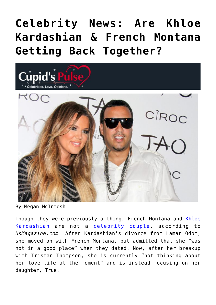# **[Celebrity News: Are Khloe](https://cupidspulse.com/129982/celebrity-news-khloe-kardashian-french-montana-getting-back-together/) [Kardashian & French Montana](https://cupidspulse.com/129982/celebrity-news-khloe-kardashian-french-montana-getting-back-together/) [Getting Back Together?](https://cupidspulse.com/129982/celebrity-news-khloe-kardashian-french-montana-getting-back-together/)**



By Megan McIntosh

Though they were previously a thing, French Montana and [Khloe](http://cupidspulse.com/87702/khloe-kardashian) [Kardashian](http://cupidspulse.com/87702/khloe-kardashian) are not a [celebrity couple](http://cupidspulse.com/tag/celebrity-couples/), according to *UsMagazine.com*. After Kardashian's divorce from Lamar Odom, she moved on with French Montana, but admitted that she "was not in a good place" when they dated. Now, after her breakup with Tristan Thompson, she is currently "not thinking about her love life at the moment" and is instead focusing on her daughter, True.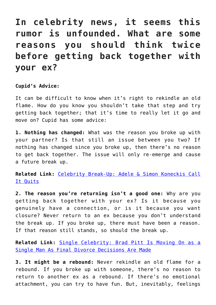### **In celebrity news, it seems this rumor is unfounded. What are some reasons you should think twice before getting back together with your ex?**

### **Cupid's Advice:**

It can be difficult to know when it's right to rekindle an old flame. How do you know you shouldn't take that step and try getting back together; that it's time to really let it go and move on? Cupid has some advice:

**1. Nothing has changed:** What was the reason you broke up with your partner? Is that still an issue between you two? If nothing has changed since you broke up, then there's no reason to get back together. The issue will only re-emerge and cause a future break up.

**Related Link:** [Celebrity Break-Up: Adele & Simon Koneckis Call](http://cupidspulse.com/129961/celebrity-break-up-adele-simon-koneckis/) [It Quits](http://cupidspulse.com/129961/celebrity-break-up-adele-simon-koneckis/)

**2. The reason you're returning isn't a good one:** Why are you getting back together with your ex? Is it because you genuinely have a connection, or is it because you want closure? Never return to an ex because you don't understand the break up. If you broke up, there must have been a reason. If that reason still stands, so should the break up.

**Related Link:** [Single Celebrity: Brad Pitt Is Moving On as a](http://cupidspulse.com/129891/single-celebrity-brad-pitt-moving-on-single-man-divorce/) [Single Man As Final Divorce Decisions Are Made](http://cupidspulse.com/129891/single-celebrity-brad-pitt-moving-on-single-man-divorce/)

**3. It might be a rebound:** Never rekindle an old flame for a rebound. If you broke up with someone, there's no reason to return to another ex as a rebound. If there's no emotional attachment, you can try to have fun. But, inevitably, feelings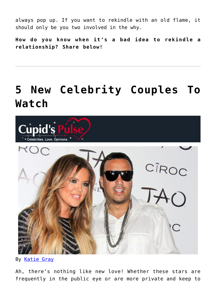always pop up. If you want to rekindle with an old flame, it should only be you two involved in the why.

**How do you know when it's a bad idea to rekindle a relationship? Share below!**

## **[5 New Celebrity Couples To](https://cupidspulse.com/114848/new-celebrity-couples-to-watch/) [Watch](https://cupidspulse.com/114848/new-celebrity-couples-to-watch/)**



By [Katie Gray](http://cupidspulse.com/105088/katie-gray)

Ah, there's nothing like new love! Whether these stars are frequently in the public eye or are more private and keep to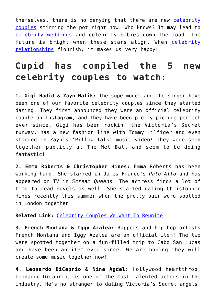themselves, there is no denying that there are new [celebrity](http://cupidspulse.com/celebrity-relationships/long-term-relationships-flings/) [couples](http://cupidspulse.com/celebrity-relationships/long-term-relationships-flings/) stirring the pot right now. Who knows? It may lead to [celebrity weddings](http://cupidspulse.com/celebrity-relationships/wedding-engagement/) and celebrity babies down the road. The future is bright when these stars align. When [celebrity](http://cupidspulse.com/celebrity-relationships/long-term-relationships-flings/) [relationships](http://cupidspulse.com/celebrity-relationships/long-term-relationships-flings/) flourish, it makes us very happy!

### **Cupid has compiled the 5 new celebrity couples to watch:**

**1. Gigi Hadid & Zayn Malik:** The supermodel and the singer have been one of our favorite celebrity couples since they started dating. They first announced they were an official celebrity couple on Instagram, and they have been pretty picture perfect ever since. Gigi has been rockin' the Victoria's Secret runway, has a new fashion line with Tommy Hilfiger and even starred in Zayn's 'Pillow Talk' music video! They were seen together publicly at The Met Ball and seem to be doing fantastic!

**2. Emma Roberts & Christopher Hines:** Emma Roberts has been working hard. She starred in James Franco's *Palo Alto* and has appeared on TV in *Scream Queens*. The actress finds a lot of time to read novels as well. She started dating Christopher Hines recently this summer when the pretty pair were spotted in London together!

### **Related Link:** [Celebrity Couples We Want To Reunite](http://cupidspulse.com/112675/celebrity-couples-we-want-to-reunite/)

**3. French Montana & Iggy Azalea:** Rappers and hip-hop artists French Montana and Iggy Azalea are an official item! The two were spotted together on a fun-filled trip to Cabo San Lucas and have been an item ever since. We are hoping they will create some music together now!

**4. Leonardo DiCaprio & Nina Agdal:** Hollywood heartthrob, Leonardo DiCaprio, is one of the most talented actors in the industry. He's no stranger to dating Victoria's Secret angels,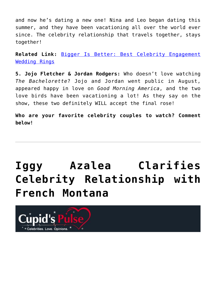and now he's dating a new one! Nina and Leo began dating this summer, and they have been vacationing all over the world ever since. The celebrity relationship that travels together, stays together!

**Related Link:** [Bigger Is Better: Best Celebrity Engagement](http://cupidspulse.com/112312/celebrity-couple-engagement-rings/) [Wedding Rings](http://cupidspulse.com/112312/celebrity-couple-engagement-rings/)

**5. Jojo Fletcher & Jordan Rodgers:** Who doesn't love watching *The Bachelorette*? Jojo and Jordan went public in August, appeared happy in love on *Good Morning America*, and the two love birds have been vacationing a lot! As they say on the show, these two definitely WILL accept the final rose!

**Who are your favorite celebrity couples to watch? Comment below!**

# **[Iggy Azalea Clarifies](https://cupidspulse.com/112911/iggy-azalea-clarifies-celebrity-relationship-french-montana/) [Celebrity Relationship with](https://cupidspulse.com/112911/iggy-azalea-clarifies-celebrity-relationship-french-montana/) [French Montana](https://cupidspulse.com/112911/iggy-azalea-clarifies-celebrity-relationship-french-montana/)**

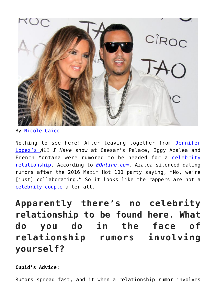

By [Nicole Caico](http://cupidspulse.com/109673/nicole-caico/)

Nothing to see here! After leaving together from [Jennifer](http://cupidspulse.com/86083/jennifer-lopez/) [Lopez's](http://cupidspulse.com/86083/jennifer-lopez/) *All I Have* show at Caesar's Palace, Iggy Azalea and French Montana were rumored to be headed for a [celebrity](http://cupidspulse.com/celebrity-relationships/) [relationship.](http://cupidspulse.com/celebrity-relationships/) According to *[EOnline.com](http://www.eonline.com/news/784084/iggy-azalea-clarifies-her-relationship-with-french-montana)*, Azalea silenced dating rumors after the 2016 Maxim Hot 100 party saying, "No, we're [just] collaborating." So it looks like the rappers are not a [celebrity couple](http://cupidspulse.com/celebrity-relationships/long-term-relationships-flings/) after all.

**Apparently there's no celebrity relationship to be found here. What do you do in the face of relationship rumors involving yourself?**

**Cupid's Advice:**

Rumors spread fast, and it when a relationship rumor involves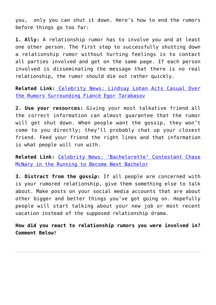you, only you can shut it down. Here's how to end the rumors before things go too far:

**1. Ally:** A relationship rumor has to involve you and at least one other person. The first step to successfully shutting down a relationship rumor without hurting feelings is to contact all parties involved and get on the same page. If each person involved is disseminating the message that there is no real relationship, the rumor should die out rather quickly.

**Related Link:** [Celebrity News: Lindsay Lohan Acts Casual Over](http://cupidspulse.com/112847/celebrity-news-lindsay-lohan-rumors-fiance-egor-tarabasov/) [the Rumors Surrounding Fiancé Egor Tarabasov](http://cupidspulse.com/112847/celebrity-news-lindsay-lohan-rumors-fiance-egor-tarabasov/)

**2. Use your resources:** Giving your most talkative friend all the correct information can almost guarantee that the rumor will get shut down. When people want the gossip, they won't come to you directly; they'll probably chat up your closest friend. Feed your friend the right lines and that information is what people will run with.

**Related Link:** [Celebrity News: 'Bachelorette' Contestant Chase](http://cupidspulse.com/112843/celebrity-news-bachelorette-chase-mcnary-next-bachelor/) [McNary in the Running to Become Next Bachelor](http://cupidspulse.com/112843/celebrity-news-bachelorette-chase-mcnary-next-bachelor/)

**3. Distract from the gossip:** If all people are concerned with is your rumored relationship, give them something else to talk about. Make posts on your social media accounts that are about other bigger and better things you've got going on. Hopefully people will start talking about your new job or most recent vacation instead of the supposed relationship drama.

**How did you react to relationship rumors you were involved in? Comment Below!**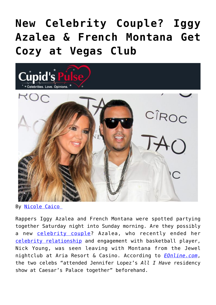# **[New Celebrity Couple? Iggy](https://cupidspulse.com/112605/new-celebrity-couple-iggy-azalea-french-montana-cozy-vegas-club/) [Azalea & French Montana Get](https://cupidspulse.com/112605/new-celebrity-couple-iggy-azalea-french-montana-cozy-vegas-club/) [Cozy at Vegas Club](https://cupidspulse.com/112605/new-celebrity-couple-iggy-azalea-french-montana-cozy-vegas-club/)**



By [Nicole Caico](http://cupidspulse.com/109673/nicole-caico/) 

Rappers Iggy Azalea and French Montana were spotted partying together Saturday night into Sunday morning. Are they possibly a new [celebrity couple](http://cupidspulse.com/celebrity-relationships/long-term-relationships-flings/)? Azalea, who recently ended her [celebrity relationship](http://cupidspulse.com/celebrity-relationships/) and engagement with basketball player, Nick Young, was seen leaving with Montana from the Jewel nightclub at Aria Resort & Casino. According to *[EOnline.com](http://www.eonline.com/news/782317/iggy-azalea-french-montana-get-cozy-and-leave-las-vegas-club-together)*, the two celebs "attended Jennifer Lopez's *All I Have* residency show at Caesar's Palace together" beforehand.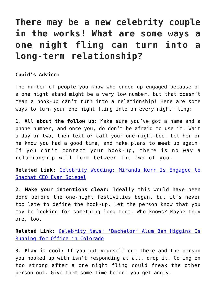### **There may be a new celebrity couple in the works! What are some ways a one night fling can turn into a long-term relationship?**

#### **Cupid's Advice:**

The number of people you know who ended up engaged because of a one night stand might be a very low number, but that doesn't mean a hook-up can't turn into a relationship! Here are some ways to turn your one night fling into an every night fling:

**1. All about the follow up:** Make sure you've got a name and a phone number, and once you, do don't be afraid to use it. Wait a day or two, then text or call your one-night-boo. Let her or he know you had a good time, and make plans to meet up again. If you don't contact your hook-up, there is no way a relationship will form between the two of you.

**Related Link:** [Celebrity Wedding: Miranda Kerr Is Engaged to](http://cupidspulse.com/112543/celebrity-wedding-miranda-kerr-engaged-evan-spiegel/) [Snachat CEO Evan Spiegel](http://cupidspulse.com/112543/celebrity-wedding-miranda-kerr-engaged-evan-spiegel/)

**2. Make your intentions clear:** Ideally this would have been done before the one-night festivities began, but it's never too late to define the hook-up. Let the person know that you may be looking for something long-term. Who knows? Maybe they are, too.

**Related Link:** [Celebrity News: 'Bachelor' Alum Ben Higgins Is](http://cupidspulse.com/112573/celebrity-news-bachelor-alum-ben-higgins-running-office-colorado/) [Running for Office in Colorado](http://cupidspulse.com/112573/celebrity-news-bachelor-alum-ben-higgins-running-office-colorado/)

**3. Play it cool:** If you put yourself out there and the person you hooked up with isn't responding at all, drop it. Coming on too strong after a one night fling could freak the other person out. Give them some time before you get angry.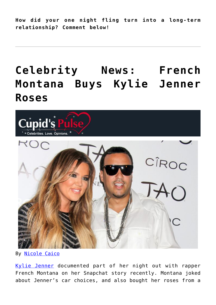**How did your one night fling turn into a long-term relationship? Comment below!**

## **[Celebrity News: French](https://cupidspulse.com/110701/celebrity-news-french-montana-buys-kylie-jenner-roses/) [Montana Buys Kylie Jenner](https://cupidspulse.com/110701/celebrity-news-french-montana-buys-kylie-jenner-roses/) [Roses](https://cupidspulse.com/110701/celebrity-news-french-montana-buys-kylie-jenner-roses/)**



By [Nicole Caico](http://cupidspulse.com/109673/nicole-caico/)

[Kylie Jenner](http://cupidspulse.com/86091/kylie-jenner/) documented part of her night out with rapper French Montana on her Snapchat story recently. Montana joked about Jenner's car choices, and also bought her roses from a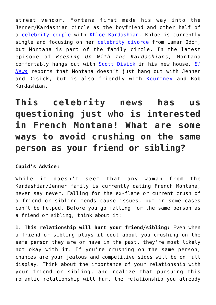street vendor. Montana first made his way into the Jenner/Kardashian circle as the boyfriend and other half of a [celebrity couple](http://cupidspulse.com/celebrity-relationships/long-term-relationships-flings/) with [Khloe Kardashian.](http://cupidspulse.com/87702/khloe-kardashian/) Khloe is currently single and focusing on her [celebrity divorce](http://cupidspulse.com/celebrity-relationships/break-up-divorce/) from Lamar Odom, but Montana is part of the family circle. In the latest episode of *Keeping Up With the Kardashians,* Montana comfortably hangs out with [Scott Disick](http://cupidspulse.com/87712/scott-disick/) in his new house. *[E!](http://www.eonline.com/news/772286/french-montana-buys-kylie-jenner-roses-while-hanging-out-together) [News](http://www.eonline.com/news/772286/french-montana-buys-kylie-jenner-roses-while-hanging-out-together)* reports that Montana doesn't just hang out with Jenner and Disick, but is also friendly with [Kourtney](http://cupidspulse.com/89555/kourtney-kardashian/) and Rob Kardashian.

**This celebrity news has us questioning just who is interested in French Montana! What are some ways to avoid crushing on the same person as your friend or sibling?**

**Cupid's Advice:**

While it doesn't seem that any woman from the Kardashian/Jenner family is currently dating French Montana, never say never. Falling for the ex-flame or current crush of a friend or sibling tends cause issues, but in some cases can't be helped. Before you go falling for the same person as a friend or sibling, think about it:

**1. This relationship will hurt your friend/sibling:** Even when a friend or sibling plays it cool about you crushing on the same person they are or have in the past, they're most likely not okay with it. If you're crushing on the same person, chances are your jealous and competitive sides will be on full display. Think about the importance of your relationship with your friend or sibling, and realize that pursuing this romantic relationship will hurt the relationship you already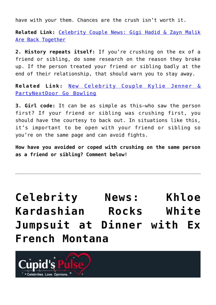have with your them. Chances are the crush isn't worth it.

**Related Link:** [Celebrity Couple News: Gigi Hadid & Zayn Malik](http://cupidspulse.com/110111/celebrity-couple-news-gigi-hadid-zayn-malik-back-together/) [Are Back Together](http://cupidspulse.com/110111/celebrity-couple-news-gigi-hadid-zayn-malik-back-together/)

**2. History repeats itself:** If you're crushing on the ex of a friend or sibling, do some research on the reason they broke up. If the person treated your friend or sibling badly at the end of their relationship, that should warn you to stay away.

**Related Link:** [New Celebrity Couple Kylie Jenner &](http://cupidspulse.com/109505/celebrity-couple-kylie-jenner-partynextdoor-bowling/) [PartyNextDoor Go Bowling](http://cupidspulse.com/109505/celebrity-couple-kylie-jenner-partynextdoor-bowling/)

**3. Girl code:** It can be as simple as this–who saw the person first? If your friend or sibling was crushing first, you should have the courtesy to back out. In situations like this, it's important to be open with your friend or sibling so you're on the same page and can avoid fights.

**How have you avoided or coped with crushing on the same person as a friend or sibling? Comment below!**

**[Celebrity News: Khloe](https://cupidspulse.com/104935/celebrity-news-khloe-kardashian-dinner-ex-french-montana/) [Kardashian Rocks White](https://cupidspulse.com/104935/celebrity-news-khloe-kardashian-dinner-ex-french-montana/) [Jumpsuit at Dinner with Ex](https://cupidspulse.com/104935/celebrity-news-khloe-kardashian-dinner-ex-french-montana/) [French Montana](https://cupidspulse.com/104935/celebrity-news-khloe-kardashian-dinner-ex-french-montana/)**

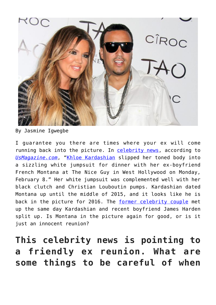

By Jasmine Igwegbe

I guarantee you there are times where your ex will come running back into the picture. In [celebrity news,](http://cupidspulse.com/) according to *[UsMagazine.com](http://www.usmagazine.com/celebrity-style/news/khloe-k-wears-sexy-jumpsuit-for-reunion-with-french-montana-w163847)*, "[Khloe Kardashian](http://cupidspulse.com/87702/khloe-kardashian/) slipped her toned body into a sizzling white jumpsuit for dinner with her ex-boyfriend French Montana at The Nice Guy in West Hollywood on Monday, February 8." Her white jumpsuit was complemented well with her black clutch and Christian Louboutin pumps. Kardashian dated Montana up until the middle of 2015, and it looks like he is back in the picture for 2016. The [former celebrity couple](http://cupidspulse.com/celebrity-relationships/dating-love/) met up the same day Kardashian and recent boyfriend James Harden split up. Is Montana in the picture again for good, or is it just an innocent reunion?

**This celebrity news is pointing to a friendly ex reunion. What are some things to be careful of when**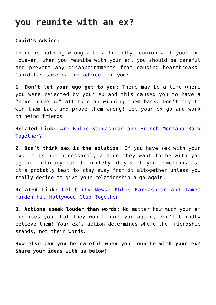### **you reunite with an ex?**

### **Cupid's Advice:**

There is nothing wrong with a friendly reunion with your ex. However, when you reunite with your ex, you should be careful and prevent any disappointments from causing heartbreaks. Cupid has some [dating advice](http://cupidspulse.com/dating/date-ideas/) for you:

**1. Don't let your ego get to you:** There may be a time where you were rejected by your ex and this caused you to have a "never-give-up" attitude on winning them back. Don't try to win them back and prove them wrong! Let your ex go and work on being friends.

**Related Link:** [Are Khloe Kardashian and French Montana Back](http://cupidspulse.com/82815/khloe-kardashian-french-montana-back-together/) [Together?](http://cupidspulse.com/82815/khloe-kardashian-french-montana-back-together/)

**2. Don't think sex is the solution:** If you have sex with your ex, it is not necessarily a sign they want to be with you again. Intimacy can definitely play with your emotions, so it's probably best to stay away from it altogether unless you really decide to give your relationship a go again.

**Related Link:** [Celebrity News: Khloe Kardashian and James](http://cupidspulse.com/101458/celebrity-news-khloe-kardashian-james-harden-hollywood-club-together/) [Harden Hit Hollywood Club Together](http://cupidspulse.com/101458/celebrity-news-khloe-kardashian-james-harden-hollywood-club-together/)

**3. Actions speak louder than words:** No matter how much your ex promises you that they won't hurt you again, don't blindly believe them! Your ex's action determines where the friendship stands, not their words.

**How else can you be careful when you reunite with your ex? Share your ideas with us below!**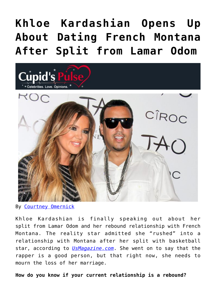# **[Khloe Kardashian Opens Up](https://cupidspulse.com/84600/khloe-kardashian-talks-french-montana-split-lamar-odom/) [About Dating French Montana](https://cupidspulse.com/84600/khloe-kardashian-talks-french-montana-split-lamar-odom/) [After Split from Lamar Odom](https://cupidspulse.com/84600/khloe-kardashian-talks-french-montana-split-lamar-odom/)**



By [Courtney Omernick](http://cupidspulse.com/105759/courtney-omernick/)

Khloe Kardashian is finally speaking out about her split from Lamar Odom and her rebound relationship with French Montana. The reality star admitted she "rushed" into a relationship with Montana after her split with basketball star, according to *[UsMagazine.com](http://www.usmagazine.com/entertainment/news/khloe-kardashian-on-dating-french-montana-after-split-i-was-lonely-20142912)*. She went on to say that the rapper is a good person, but that right now, she needs to mourn the loss of her marriage.

**How do you know if your current relationship is a rebound?**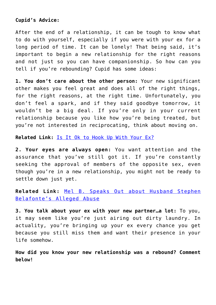### **Cupid's Advice:**

After the end of a relationship, it can be tough to know what to do with yourself, especially if you were with your ex for a long period of time. It can be lonely! That being said, it's important to begin a new relationship for the right reasons and not just so you can have companionship. So how can you tell if you're rebounding? Cupid has some ideas:

**1. You don't care about the other person:** Your new significant other makes you feel great and does all of the right things, for the right reasons, at the right time. Unfortunately, you don't feel a spark, and if they said goodbye tomorrow, it wouldn't be a big deal. If you're only in your current relationship because you like how you're being treated, but you're not interested in reciprocating, think about moving on.

Related Link: **[Is It Ok to Hook Up With Your Ex?](http://cupidspulse.com/84516/hook-up-with-ex/)** 

**2. Your eyes are always open:** You want attention and the assurance that you've still got it. If you're constantly seeking the approval of members of the opposite sex, even though you're in a new relationship, you might not be ready to settle down just yet.

**Related Link:** [Mel B. Speaks Out about Husband Stephen](http://cupidspulse.com/84541/mel-b-husband-alleged-abuse/) [Belafonte's Alleged Abuse](http://cupidspulse.com/84541/mel-b-husband-alleged-abuse/)

**3. You talk about your ex with your new partner…a lot:** To you, it may seem like you're just airing out dirty laundry. In actuality, you're bringing up your ex every chance you get because you still miss them and want their presence in your life somehow.

**How did you know your new relationship was a rebound? Comment below!**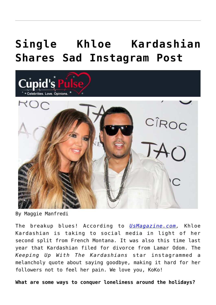# **[Single Khloe Kardashian](https://cupidspulse.com/84090/khloe-kardashian-shares-instagram-post/) [Shares Sad Instagram Post](https://cupidspulse.com/84090/khloe-kardashian-shares-instagram-post/)**



By Maggie Manfredi

The breakup blues! According to *[UsMagazine.com](http://www.usmagazine.com/celebrity-news/news/khloe-kardashian-feels-lonely-missing-french-montana-or-lamar-odom-20141012),* Khloe Kardashian is taking to social media in light of her second split from French Montana. It was also this time last year that Kardashian filed for divorce from Lamar Odom. The *Keeping Up With The Kardashians* star instagrammed a melancholy quote about saying goodbye, making it hard for her followers not to feel her pain. We love you, KoKo!

**What are some ways to conquer loneliness around the holidays?**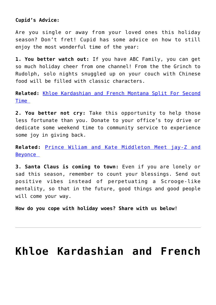### **Cupid's Advice:**

Are you single or away from your loved ones this holiday season? Don't fret! Cupid has some advice on how to still enjoy the most wonderful time of the year:

**1. You better watch out:** If you have ABC Family, you can get so much holiday cheer from one channel! From the the Grinch to Rudolph, solo nights snuggled up on your couch with Chinese food will be filled with classic characters.

**Related:** [Khloe Kardashian and French Montana Split For Second](http://cupidspulse.com/83969/khloe-kardashian-and-french-montana-split-for-second-time/) [Time](http://cupidspulse.com/83969/khloe-kardashian-and-french-montana-split-for-second-time/) 

**2. You better not cry:** Take this opportunity to help those less fortunate than you. Donate to your office's toy drive or dedicate some weekend time to community service to experience some joy in giving back.

**Related:** [Prince Wiliam and Kate Middleton Meet jay-Z and](http://cupidspulse.com/84024/prince-william-kate-middleton-meet-jay-z-beyonce/) [Beyonce](http://cupidspulse.com/84024/prince-william-kate-middleton-meet-jay-z-beyonce/) 

**3. Santa Claus is coming to town:** Even if you are lonely or sad this season, remember to count your blessings. Send out positive vibes instead of perpetuating a Scrooge-like mentality, so that in the future, good things and good people will come your way.

**How do you cope with holiday woes? Share with us below!** 

### **[Khloe Kardashian and French](https://cupidspulse.com/83969/khloe-kardashian-and-french-montana-split-for-second-time/)**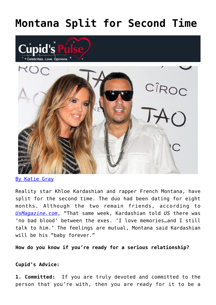## **[Montana Split for Second Time](https://cupidspulse.com/83969/khloe-kardashian-and-french-montana-split-for-second-time/)**





[By Katie Gray](http://cupidspulse.com/105088/katie-gray/)

Reality star Khloe Kardashian and rapper French Montana, have split for the second time. The duo had been dating for eight months. Although the two remain friends, according to *[UsMagazine.com](http://www.usmagazine.com/celebrity-news/news/khloe-kardashian-french-montana-split-for-second-time-details-2014412)*, "That same week, Kardashian told *US* there was 'no bad blood' between the exes. 'I love memories…and I still talk to him.' The feelings are mutual, Montana said Kardashian will be his "baby forever."

**How do you know if you're ready for a serious relationship?**

### **Cupid's Advice:**

**1. Committed:** If you are truly devoted and committed to the person that you're with, then you are ready for it to be a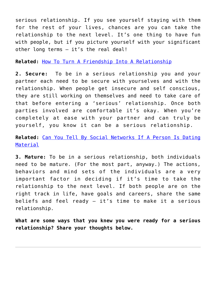serious relationship. If you see yourself staying with them for the rest of your lives, chances are you can take the relationship to the next level. It's one thing to have fun with people, but if you picture yourself with your significant other long terms – it's the real deal!

#### **Related:** [How To Turn A Friendship Into A Relationship](http://cupidspulse.com/76599/friendship-into-a-relationship/)

**2. Secure:** To be in a serious relationship you and your partner each need to be secure with yourselves and with the relationship. When people get insecure and self conscious, they are still working on themselves and need to take care of that before entering a 'serious' relationship. Once both parties involved are comfortable it's okay. When you're completely at ease with your partner and can truly be yourself, you know it can be a serious relationship.

**Related:** [Can You Tell By Social Networks If A Person Is Dating](http://cupidspulse.com/79462/relationship-type-social-network-suzanne-oshima-paige-wyatt-robert-manni/) [Material](http://cupidspulse.com/79462/relationship-type-social-network-suzanne-oshima-paige-wyatt-robert-manni/)

**3. Mature:** To be in a serious relationship, both individuals need to be mature. (For the most part, anyway.) The actions, behaviors and mind sets of the individuals are a very important factor in deciding if it's time to take the relationship to the next level. If both people are on the right track in life, have goals and careers, share the same beliefs and feel ready – it's time to make it a serious relationship.

**What are some ways that you knew you were ready for a serious relationship? Share your thoughts below.**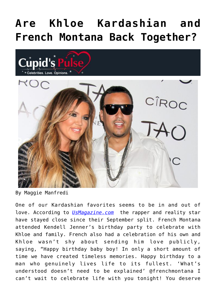# **[Are Khloe Kardashian and](https://cupidspulse.com/82815/khloe-kardashian-french-montana-back-together/) [French Montana Back Together?](https://cupidspulse.com/82815/khloe-kardashian-french-montana-back-together/)**





By Maggie Manfredi

One of our Kardashian favorites seems to be in and out of love. According to *[UsMagazine.com](http://www.usmagazine.com/celebrity-news/news/khloe-kardashian-french-montana-happy-birthday-picture-2014911)* the rapper and reality star have stayed close since their September split. French Montana attended Kendell Jenner's birthday party to celebrate with Khloe and family. French also had a celebration of his own and Khloe wasn't shy about sending him love publicly, saying, "Happy birthday baby boy! In only a short amount of time we have created timeless memories. Happy birthday to a man who genuinely lives life to its fullest. 'What's understood doesn't need to be explained' @frenchmontana I can't wait to celebrate life with you tonight! You deserve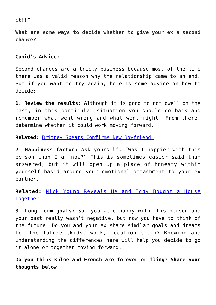#### it!!"

**What are some ways to decide whether to give your ex a second chance?**

### **Cupid's Advice:**

Second chances are a tricky business because most of the time there was a valid reason why the relationship came to an end. But if you want to try again, here is some advice on how to decide:

**1. Review the results:** Although it is good to not dwell on the past, in this particular situation you should go back and remember what went wrong and what went right. From there, determine whether it could work moving forward.

**Related:** [Britney Spears Confirms New Boyfriend](http://cupidspulse.com/82805/britney-spears-confirms-new-boyfriend/) 

**2. Happiness factor:** Ask yourself, "Was I happier with this person than I am now?" This is sometimes easier said than answered, but it will open up a place of honesty within yourself based around your emotional attachment to your ex partner.

**Related:** [Nick Young Reveals He and Iggy Bought a House](http://cupidspulse.com/82737/nick-young-iggy-buy-house-together/) [Together](http://cupidspulse.com/82737/nick-young-iggy-buy-house-together/)

**3. Long term goals:** So, you were happy with this person and your past really wasn't negative, but now you have to think of the future. Do you and your ex share similar goals and dreams for the future (kids, work, location etc.)? Knowing and understanding the differences here will help you decide to go it alone or together moving forward.

**Do you think Khloe and French are forever or fling? Share your thoughts below**!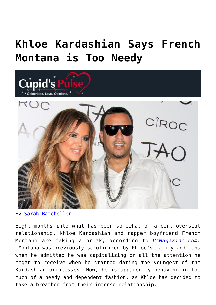## **[Khloe Kardashian Says French](https://cupidspulse.com/80288/khloe-kardashian-french-montana-needy/) [Montana is Too Needy](https://cupidspulse.com/80288/khloe-kardashian-french-montana-needy/)**



By [Sarah Batcheller](http://cupidspulse.com/104594/sarah-batcheller/)

Eight months into what has been somewhat of a controversial relationship, Khloe Kardashian and rapper boyfriend French Montana are taking a break, according to *[UsMagazine.com.](http://www.usmagazine.com/celebrity-news/news/khloe-kardashian-french-montana-on-a-break-he-was-needy-2014109)* Montana was previously scrutinized by Khloe's family and fans when he admitted he was capitalizing on all the attention he began to receive when he started dating the youngest of the Kardashian princesses. Now, he is apparently behaving in too much of a needy and dependent fashion, as Khloe has decided to take a breather from their intense relationship.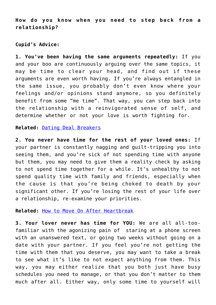**How do you know when you need to step back from a relationship?**

### **Cupid's Advice:**

**1. You've been having the same arguments repeatedly:** If you and your boo are continuously arguing over the same topics, it may be time to clear your head, and find out if these arguments are even worth having. If you're always entangled in the same issue, you probably don't even know where your feelings and/or opinions stand anymore, so you definitely benefit from some "me time". That way, you can step back into the relationship with a reinvigorated sense of self, and determine whether or not your love is worth fighting for.

**Related:** [Dating Deal Breakers](http://cupidspulse.com/56233/dating-deal-breakers-david-wygant/)

**2. You never have time for the rest of your loved ones:** If your partner is constantly nagging and guilt-tripping you into seeing them, and you're sick of not spending time with anyone but them, you may need to give them a reality check by asking to not spend time together for a while. It's unhealthy to not spend quality time with family and friends, especially when the cause is that you're being choked to death by your significant other. If you're losing the rest of your life over a relationship, re-examine your priorities.

**Related:** [How to Move On After Heartbreak](http://cupidspulse.com/73396/how-to-move-on-after-heartbreak-david-wygant/)

**3. Your lover never has time for YOU:** We are all all-toofamiliar with the agonizing pain of staring at a phone screen with an unanswered text, or going two weeks without going on a date with your partner. If you feel you're not getting the time with them that you deserve, you may want to take a break to see what it's like to not expect anything from them. This way, you may either realize that you both just have busy schedules you need to manage, or that you don't matter to them much after all. Either way, only some time to yourself will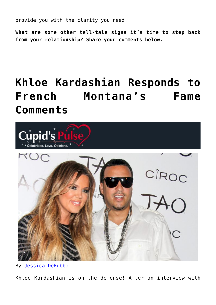provide you with the clarity you need.

**What are some other tell-tale signs it's time to step back from your relationship? Share your comments below.**

# **[Khloe Kardashian Responds to](https://cupidspulse.com/79404/khloe-kardashian-responds-to-french-montanas-fame-comments/) [French Montana's Fame](https://cupidspulse.com/79404/khloe-kardashian-responds-to-french-montanas-fame-comments/) [Comments](https://cupidspulse.com/79404/khloe-kardashian-responds-to-french-montanas-fame-comments/)**



By [Jessica DeRubbo](http://cupidspulse.com/104599/jessica-derubbo/)

Khloe Kardashian is on the defense! After an interview with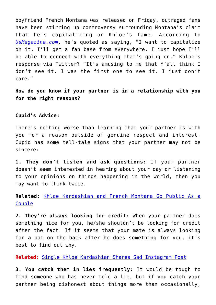boyfriend French Montana was released on Friday, outraged fans have been stirring up controversy surrounding Montana's claim that he's capitalizing on Khloe's fame. According to *[UsMagazine.com](http://www.usmagazine.com/celebrity-news/news/khloe-kardashian-responds-french-montana-capitalizing-fame-2014178)*, he's quoted as saying, "I want to capitalize on it. I'll get a fan base from everywhere. I just hope I'll be able to connect with everything that's going on." Khloe's response via Twitter? "It's amusing to me that Y'all think I don't see it. I was the first one to see it. I just don't care."

**How do you know if your partner is in a relationship with you for the right reasons?**

#### **Cupid's Advice:**

There's nothing worse than learning that your partner is with you for a reason outside of genuine respect and interest. Cupid has some tell-tale signs that your partner may not be sincere:

**1. They don't listen and ask questions:** If your partner doesn't seem interested in hearing about your day or listening to your opinions on things happening in the world, then you may want to think twice.

**Related:** [Khloe Kardashian and French Montana Go Public As a](http://cupidspulse.com/khloe-kardashian-french-montana-public-relationship/) **[Couple](http://cupidspulse.com/khloe-kardashian-french-montana-public-relationship/)** 

**2. They're always looking for credit:** When your partner does something nice for you, he/she shouldn't be looking for credit after the fact. If it seems that your mate is always looking for a pat on the back after he does something for you, it's best to find out why.

**Related:** [Single Khloe Kardashian Shares Sad Instagram Post](http://cupidspulse.com/84090/khloe-kardashian-shares-instagram-post/)

**3. You catch them in lies frequently:** It would be tough to find someone who has never told a lie, but if you catch your partner being dishonest about things more than occasionally,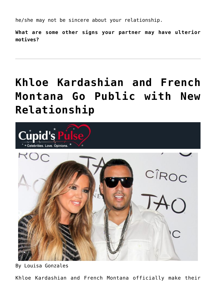he/she may not be sincere about your relationship.

**What are some other signs your partner may have ulterior motives?**

# **[Khloe Kardashian and French](https://cupidspulse.com/73650/khloe-kardashian-french-montana-public-relationship/) [Montana Go Public with New](https://cupidspulse.com/73650/khloe-kardashian-french-montana-public-relationship/) [Relationship](https://cupidspulse.com/73650/khloe-kardashian-french-montana-public-relationship/)**



By Louisa Gonzales

Khloe Kardashian and French Montana officially make their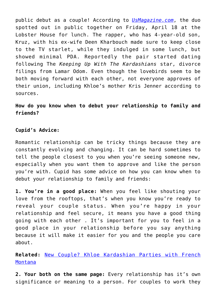public debut as a couple! According to *[UsMagazine.com](http://www.usmagazine.com/celebrity-news/news/khloe-kardashian-boyfriend-french-montana-date-picture-2014204)*, the duo spotted out in public together on Friday, April 18 at the Lobster House for lunch. The rapper, who has 4-year-old son, Kruz, with his ex-wife Deen Kharbouch made sure to keep close to the TV starlet, while they indulged in some lunch, but showed minimal PDA. Reportedly the pair started dating following The *Keeping Up With The Kardashians* star, divorce filings from Lamar Odom. Even though the lovebirds seem to be both moving forward with each other, not everyone approves of their union, including Khloe's mother Kris Jenner according to sources.

**How do you know when to debut your relationship to family and friends?**

### **Cupid's Advice:**

Romantic relationship can be tricky things because they are constantly evolving and changing. It can be hard sometimes to tell the people closest to you when you're seeing someone new, especially when you want them to approve and like the person you're with. Cupid has some advice on how you can know when to debut your relationship to family and friends:

**1. You're in a good place:** When you feel like shouting your love from the rooftops, that's when you know you're ready to reveal your couple status. When you're happy in your relationship and feel secure, it means you have a good thing going with each other . It's important for you to feel in a good place in your relationship before you say anything because it will make it easier for you and the people you care about.

**Related:** [New Couple? Khloe Kardashian Parties with French](http://cupidspulse.com/new-couple-khloe-kardashian-french-montana/) [Montana](http://cupidspulse.com/new-couple-khloe-kardashian-french-montana/)

**2. Your both on the same page:** Every relationship has it's own significance or meaning to a person. For couples to work they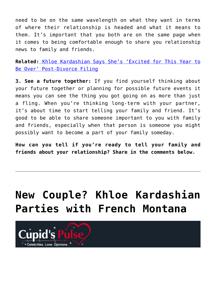need to be on the same wavelength on what they want in terms of where their relationship is headed and what it means to them. It's important that you both are on the same page when it comes to being comfortable enough to share you relationship news to family and friends.

**Related:** [Khloe Kardashian Says She's 'Excited for This Year to](http://cupidspulse.com/khloe-kardashian-excited-year-over-post-divorce/) [Be Over' Post-Divorce Filing](http://cupidspulse.com/khloe-kardashian-excited-year-over-post-divorce/)

**3. See a future together:** If you find yourself thinking about your future together or planning for possible future events it means you can see the thing you got going on as more than just a fling. When you're thinking long-term with your partner, it's about time to start telling your family and friend. It's good to be able to share someone important to you with family and friends, especially when that person is someone you might possibly want to become a part of your family someday.

**How can you tell if you're ready to tell your family and friends about your relationship? Share in the comments below.**

## **[New Couple? Khloe Kardashian](https://cupidspulse.com/72950/new-couple-khloe-kardashian-french-montana/) [Parties with French Montana](https://cupidspulse.com/72950/new-couple-khloe-kardashian-french-montana/)**

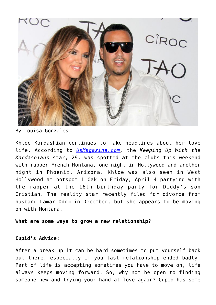

By Louisa Gonzales

Khloe Kardashian continues to make headlines about her love life. According to *[UsMagazine.com,](http://www.usmagazine.com/celebrity-news/news/khloe-kardashian-parties-french-montana-diddy-son-birthday-party-pictures-201474)* the *Keeping Up With the Kardashians* star, 29, was spotted at the clubs this weekend with rapper French Montana, one night in Hollywood and another night in Phoenix, Arizona. Khloe was also seen in West Hollywood at hotspot 1 Oak on Friday, April 4 partying with the rapper at the 16th birthday party for Diddy's son Cristian. The reality star recently filed for divorce from husband Lamar Odom in December, but she appears to be moving on with Montana.

#### **What are some ways to grow a new relationship?**

### **Cupid's Advice:**

After a break up it can be hard sometimes to put yourself back out there, especially if you last relationship ended badly. Part of life is accepting sometimes you have to move on, life always keeps moving forward. So, why not be open to finding someone new and trying your hand at love again? Cupid has some